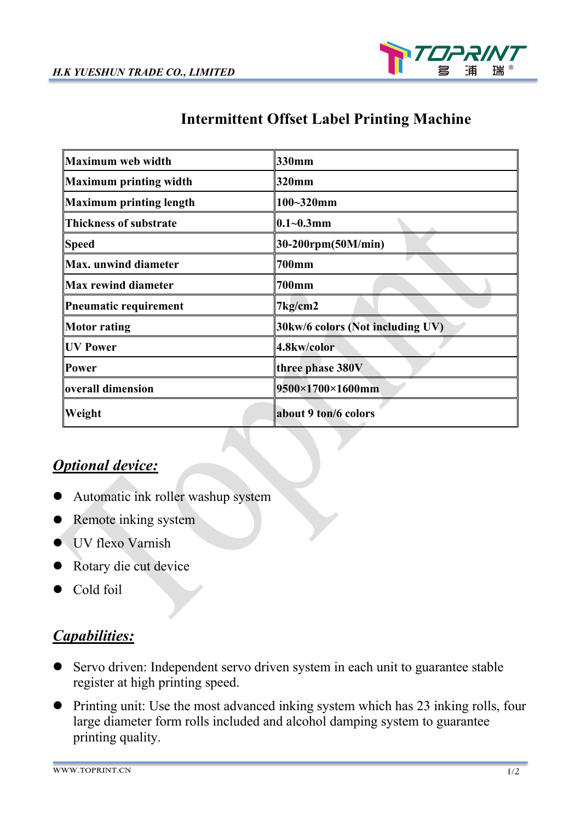

## **Intermittent Offset Label Printing Machine**

| <b>Maximum web width</b>       | 330mm                            |
|--------------------------------|----------------------------------|
| <b>Maximum printing width</b>  | 320mm                            |
| <b>Maximum printing length</b> | $100 - 320$ mm                   |
| <b>Thickness of substrate</b>  | $0.1 - 0.3$ mm                   |
| <b>Speed</b>                   | 30-200rpm(50M/min)               |
| <b>Max.</b> unwind diameter    | <b>700mm</b>                     |
| <b>Max rewind diameter</b>     | <b>700mm</b>                     |
| <b>Pneumatic requirement</b>   | 7kg/cm2                          |
| <b>Motor</b> rating            | 30kw/6 colors (Not including UV) |
| <b>UV Power</b>                | 4.8kw/color                      |
| Power                          | three phase 380V                 |
| overall dimension              | 9500×1700×1600mm                 |
| Weight                         | about 9 ton/6 colors             |

## *Optional device:*

- Automatic ink roller washup system
- Remote inking system
- UV flexo Varnish
- Rotary die cut device
- Cold foil

## *Capabilities:*

- Servo driven: Independent servo driven system in each unit to guarantee stable register at high printing speed.
- Printing unit: Use the most advanced inking system which has 23 inking rolls, four large diameter form rolls included and alcohol damping system to guarantee printing quality.